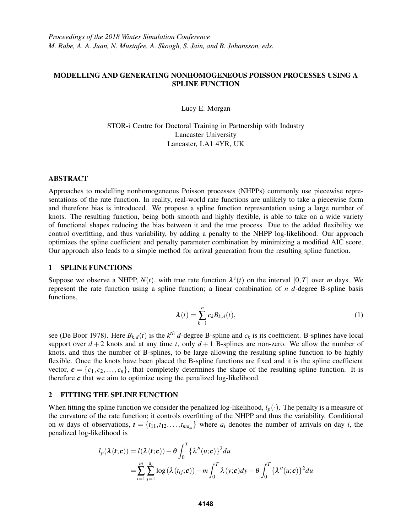# MODELLING AND GENERATING NONHOMOGENEOUS POISSON PROCESSES USING A SPLINE FUNCTION

Lucy E. Morgan

STOR-i Centre for Doctoral Training in Partnership with Industry Lancaster University Lancaster, LA1 4YR, UK

### ABSTRACT

Approaches to modelling nonhomogeneous Poisson processes (NHPPs) commonly use piecewise representations of the rate function. In reality, real-world rate functions are unlikely to take a piecewise form and therefore bias is introduced. We propose a spline function representation using a large number of knots. The resulting function, being both smooth and highly flexible, is able to take on a wide variety of functional shapes reducing the bias between it and the true process. Due to the added flexibility we control overfitting, and thus variability, by adding a penalty to the NHPP log-likelihood. Our approach optimizes the spline coefficient and penalty parameter combination by minimizing a modified AIC score. Our approach also leads to a simple method for arrival generation from the resulting spline function.

## 1 SPLINE FUNCTIONS

Suppose we observe a NHPP,  $N(t)$ , with true rate function  $\lambda^{c}(t)$  on the interval  $[0, T]$  over *m* days. We represent the rate function using a spline function; a linear combination of *n d*-degree B-spline basis functions,

$$
\lambda(t) = \sum_{k=1}^{n} c_k B_{k,d}(t),
$$
\n(1)

see (De Boor 1978). Here  $B_{k,d}(t)$  is the  $k^{th}$  *d*-degree B-spline and  $c_k$  is its coefficient. B-splines have local support over  $d+2$  knots and at any time *t*, only  $d+1$  B-splines are non-zero. We allow the number of knots, and thus the number of B-splines, to be large allowing the resulting spline function to be highly flexible. Once the knots have been placed the B-spline functions are fixed and it is the spline coefficient vector,  $\mathbf{c} = \{c_1, c_2, \dots, c_n\}$ , that completely determines the shape of the resulting spline function. It is therefore  $c$  that we aim to optimize using the penalized log-likelihood.

# 2 FITTING THE SPLINE FUNCTION

When fitting the spline function we consider the penalized log-likelihood,  $l_p(\cdot)$ . The penalty is a measure of the curvature of the rate function; it controls overfitting of the NHPP and thus the variability. Conditional on *m* days of observations,  $\boldsymbol{t} = \{t_{11}, t_{12}, \ldots, t_{ma_m}\}$  where  $a_i$  denotes the number of arrivals on day *i*, the penalized log-likelihood is

$$
l_p(\lambda(\mathbf{t}; \mathbf{c})) = l(\lambda(\mathbf{t}; \mathbf{c})) - \theta \int_0^T {\{\lambda''(u; \mathbf{c})\}}^2 du
$$
  
= 
$$
\sum_{i=1}^m \sum_{j=1}^{a_i} \log(\lambda(t_{ij}; \mathbf{c})) - m \int_0^T \lambda(y; \mathbf{c}) dy - \theta \int_0^T {\{\lambda''(u; \mathbf{c})\}}^2 du
$$